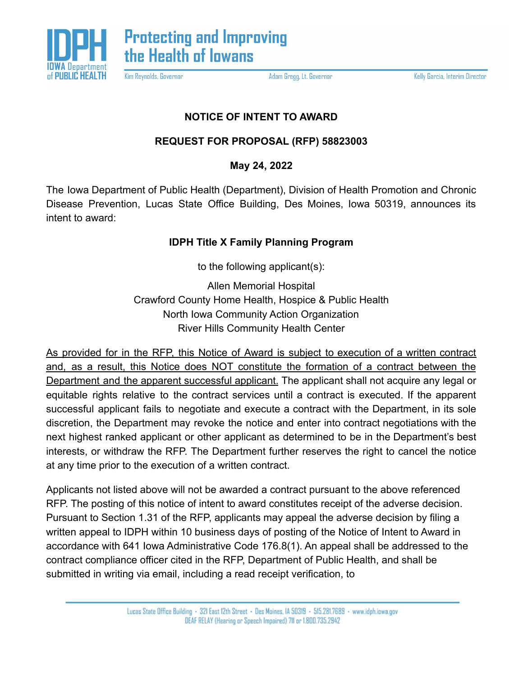

Kim Reynolds, Governor

Adam Gregg, Lt. Governor

Kelly Garcia, Interim Director

## **NOTICE OF INTENT TO AWARD**

## **REQUEST FOR PROPOSAL (RFP) 58823003**

**May 24, 2022**

The Iowa Department of Public Health (Department), Division of Health Promotion and Chronic Disease Prevention, Lucas State Office Building, Des Moines, Iowa 50319, announces its intent to award:

## **IDPH Title X Family Planning Program**

to the following applicant(s):

Allen Memorial Hospital Crawford County Home Health, Hospice & Public Health North Iowa Community Action Organization River Hills Community Health Center

As provided for in the RFP, this Notice of Award is subject to execution of a written contract and, as a result, this Notice does NOT constitute the formation of a contract between the Department and the apparent successful applicant. The applicant shall not acquire any legal or equitable rights relative to the contract services until a contract is executed. If the apparent successful applicant fails to negotiate and execute a contract with the Department, in its sole discretion, the Department may revoke the notice and enter into contract negotiations with the next highest ranked applicant or other applicant as determined to be in the Department's best interests, or withdraw the RFP. The Department further reserves the right to cancel the notice at any time prior to the execution of a written contract.

Applicants not listed above will not be awarded a contract pursuant to the above referenced RFP. The posting of this notice of intent to award constitutes receipt of the adverse decision. Pursuant to Section 1.31 of the RFP, applicants may appeal the adverse decision by filing a written appeal to IDPH within 10 business days of posting of the Notice of Intent to Award in accordance with 641 Iowa Administrative Code 176.8(1). An appeal shall be addressed to the contract compliance officer cited in the RFP, Department of Public Health, and shall be submitted in writing via email, including a read receipt verification, to